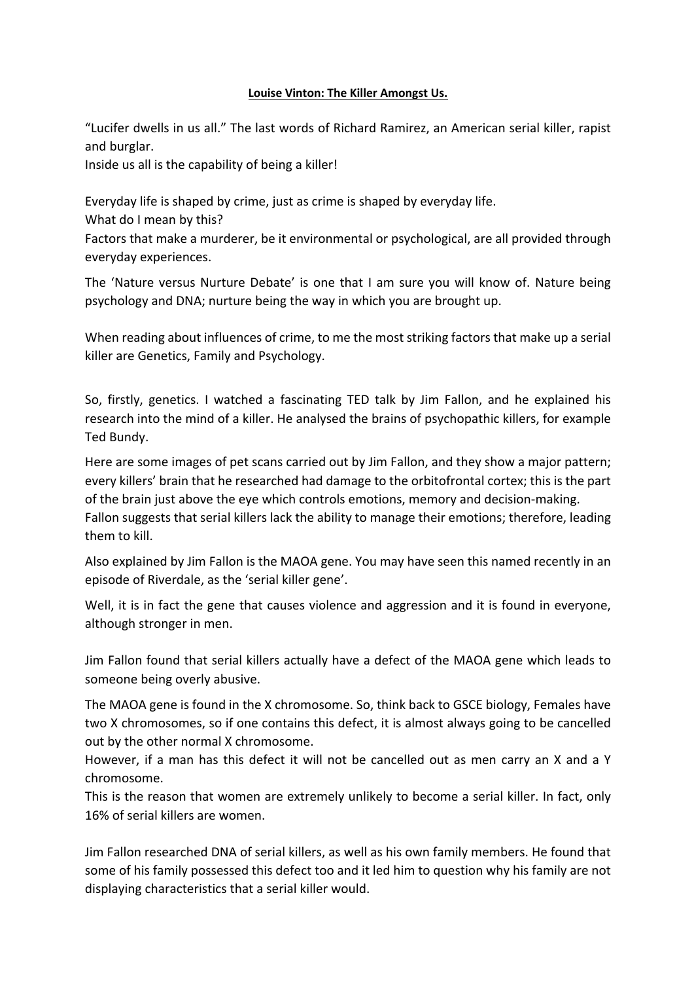## **Louise Vinton: The Killer Amongst Us.**

"Lucifer dwells in us all." The last words of Richard Ramirez, an American serial killer, rapist and burglar.

Inside us all is the capability of being a killer!

Everyday life is shaped by crime, just as crime is shaped by everyday life.

What do I mean by this?

Factors that make a murderer, be it environmental or psychological, are all provided through everyday experiences.

The 'Nature versus Nurture Debate' is one that I am sure you will know of. Nature being psychology and DNA; nurture being the way in which you are brought up.

When reading about influences of crime, to me the most striking factors that make up a serial killer are Genetics, Family and Psychology.

So, firstly, genetics. I watched a fascinating TED talk by Jim Fallon, and he explained his research into the mind of a killer. He analysed the brains of psychopathic killers, for example Ted Bundy.

Here are some images of pet scans carried out by Jim Fallon, and they show a major pattern; every killers' brain that he researched had damage to the orbitofrontal cortex; this is the part of the brain just above the eye which controls emotions, memory and decision-making. Fallon suggests that serial killers lack the ability to manage their emotions; therefore, leading them to kill.

Also explained by Jim Fallon is the MAOA gene. You may have seen this named recently in an episode of Riverdale, as the 'serial killer gene'.

Well, it is in fact the gene that causes violence and aggression and it is found in everyone, although stronger in men.

Jim Fallon found that serial killers actually have a defect of the MAOA gene which leads to someone being overly abusive.

The MAOA gene is found in the X chromosome. So, think back to GSCE biology, Females have two X chromosomes, so if one contains this defect, it is almost always going to be cancelled out by the other normal X chromosome.

However, if a man has this defect it will not be cancelled out as men carry an X and a Y chromosome.

This is the reason that women are extremely unlikely to become a serial killer. In fact, only 16% of serial killers are women.

Jim Fallon researched DNA of serial killers, as well as his own family members. He found that some of his family possessed this defect too and it led him to question why his family are not displaying characteristics that a serial killer would.